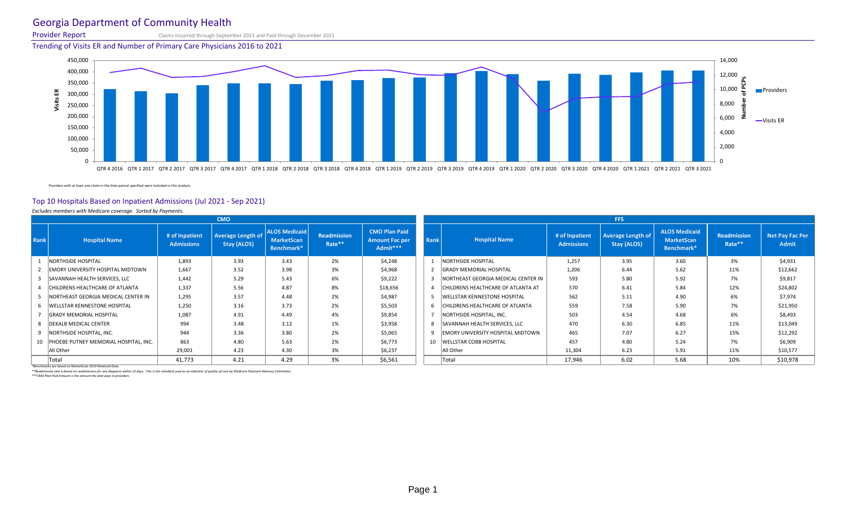## Georgia Department of Community Health

Provider Report Claims Incurred through September 2021 and Paid through December 2021

Trending of Visits ER and Number of Primary Care Physicians 2016 to 2021

Providers with at least one claim in the time period specified were included in this analysis.

#### Top 10 Hospitals Based on Inpatient Admissions (Jul 2021 - Sep 2021)

*Excludes members with Medicare coverage. Sorted by Payments.*

| Readmission        | <b>CMO Plan Paid</b>              |                 |                                     |                                                                                                                                                                                                                                                                                                                | <b>FFS</b>                                     |                                                         |                              |                                        |
|--------------------|-----------------------------------|-----------------|-------------------------------------|----------------------------------------------------------------------------------------------------------------------------------------------------------------------------------------------------------------------------------------------------------------------------------------------------------------|------------------------------------------------|---------------------------------------------------------|------------------------------|----------------------------------------|
|                    |                                   |                 |                                     |                                                                                                                                                                                                                                                                                                                |                                                |                                                         |                              |                                        |
| Rate <sup>**</sup> | <b>Amount Fac per</b><br>Admit*** | <b>Rank</b>     | <b>Hospital Name</b>                | # of Inpatient<br><b>Admissions</b>                                                                                                                                                                                                                                                                            | <b>Average Length of</b><br><b>Stay (ALOS)</b> | <b>ALOS Medicaid</b><br><b>MarketScan</b><br>Benchmark* | <b>Readmission</b><br>Rate** | <b>Net Pay Fac Per</b><br><b>Admit</b> |
| 2%                 | \$4,248                           |                 |                                     | 1,257                                                                                                                                                                                                                                                                                                          | 3.95                                           | 3.60                                                    | 3%                           | \$4,931                                |
| 3%                 | \$4,968                           |                 |                                     | 1,206                                                                                                                                                                                                                                                                                                          | 6.44                                           | 5.62                                                    | 11%                          | \$12,662                               |
| 6%                 | \$9,222                           | $\mathbf{3}$    |                                     | 593                                                                                                                                                                                                                                                                                                            | 5.80                                           | 5.92                                                    | 7%                           | \$9,817                                |
| 8%                 | \$18,656                          | $\overline{4}$  |                                     | 570                                                                                                                                                                                                                                                                                                            | 6.41                                           | 5.84                                                    | 12%                          | \$24,802                               |
| 2%                 | \$4,987                           | $5\overline{)}$ | <b>WELLSTAR KENNESTONE HOSPITAL</b> | 562                                                                                                                                                                                                                                                                                                            | 5.11                                           | 4.90                                                    | 6%                           | \$7,974                                |
| 2%                 | \$5,503                           | 6               |                                     | 559                                                                                                                                                                                                                                                                                                            | 7.58                                           | 5.90                                                    | 7%                           | \$21,950                               |
| 4%                 | \$9,854                           |                 |                                     | 503                                                                                                                                                                                                                                                                                                            | 4.54                                           | 4.68                                                    | 6%                           | \$8,493                                |
| 1%                 | \$3,958                           | 8               |                                     | 470                                                                                                                                                                                                                                                                                                            | 6.30                                           | 6.85                                                    | 11%                          | \$13,049                               |
| 2%                 | \$5,065                           | 9               |                                     | 465                                                                                                                                                                                                                                                                                                            | 7.07                                           | 6.27                                                    | 15%                          | \$12,292                               |
| 2%                 | \$6,773                           | 10              |                                     | 457                                                                                                                                                                                                                                                                                                            | 4.80                                           | 5.24                                                    | 7%                           | \$6,909                                |
| 3%                 | \$6,237                           |                 | All Other                           | 11,304                                                                                                                                                                                                                                                                                                         | 6.23                                           | 5.91                                                    | 11%                          | \$10,577                               |
| 3%                 | \$6,561                           |                 | Total                               | 17,946                                                                                                                                                                                                                                                                                                         | 6.02                                           | 5.68                                                    | 10%                          | \$10,978                               |
|                    |                                   |                 |                                     | NORTHSIDE HOSPITAL<br><b>GRADY MEMORIAL HOSPITAL</b><br>NORTHEAST GEORGIA MEDICAL CENTER IN<br>CHILDRENS HEALTHCARE OF ATLANTA AT<br>CHILDRENS HEALTHCARE OF ATLANTA<br>NORTHSIDE HOSPITAL, INC.<br>SAVANNAH HEALTH SERVICES, LLC<br><b>EMORY UNIVERSITY HOSPITAL MIDTOWN</b><br><b>WELLSTAR COBB HOSPITAL</b> |                                                |                                                         |                              |                                        |

*\*Benchmarks are based on MarketScan 2019 Medicaid Data.*

*\*\*Readmission rate is based on readmissions for any diagnosis within 15 days. This is the standard used as an indicator of quality of care by Medicare Payment Advisory Committee. \*\*\*CMO Plan Paid Amount is the amount the plan pays to providers.*